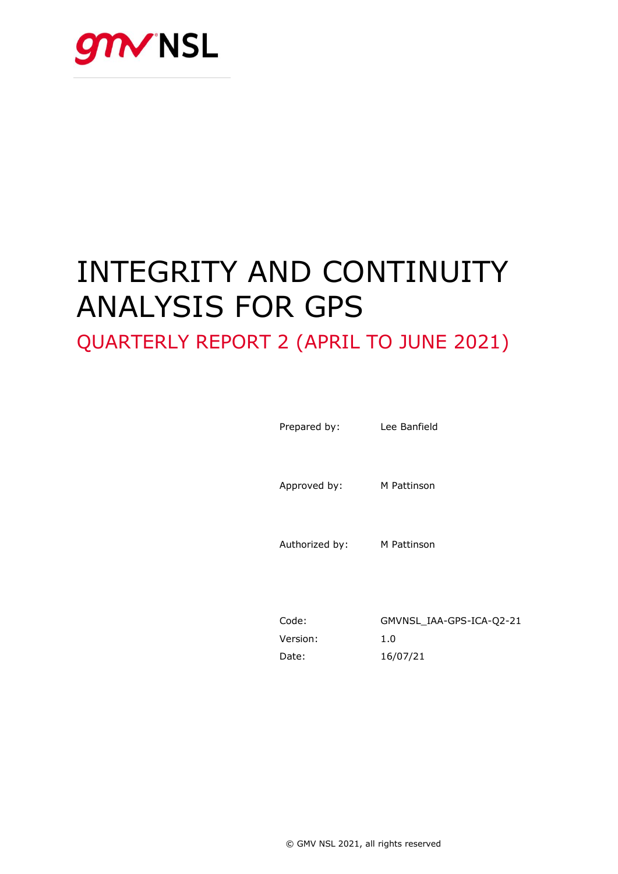

# INTEGRITY AND CONTINUITY ANALYSIS FOR GPS

## QUARTERLY REPORT 2 (APRIL TO JUNE 2021)

Prepared by: Lee Banfield

Approved by: M Pattinson

Authorized by: M Pattinson

Code: GMVNSL\_IAA-GPS-ICA-Q2-21 Version: 1.0 Date: 16/07/21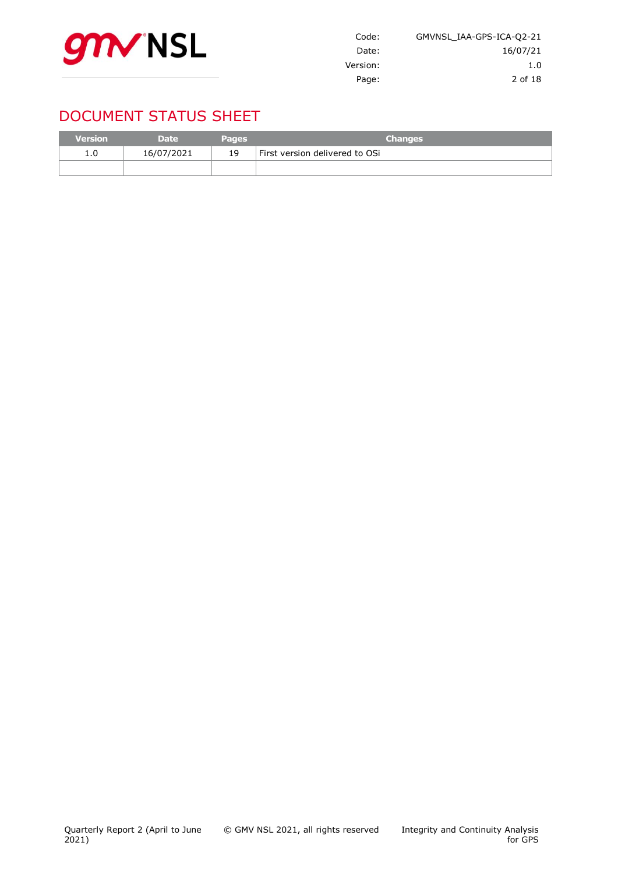

| GMVNSL IAA-GPS-ICA-Q2-21 |
|--------------------------|
| 16/07/21                 |
| 1.0                      |
| 2 of 18                  |
|                          |

## DOCUMENT STATUS SHEET

| <b>Version</b> | <b>Date</b> | <b>Pages</b> | <b>Changes</b>                 |
|----------------|-------------|--------------|--------------------------------|
| 1.0            | 16/07/2021  | 19           | First version delivered to OSi |
|                |             |              |                                |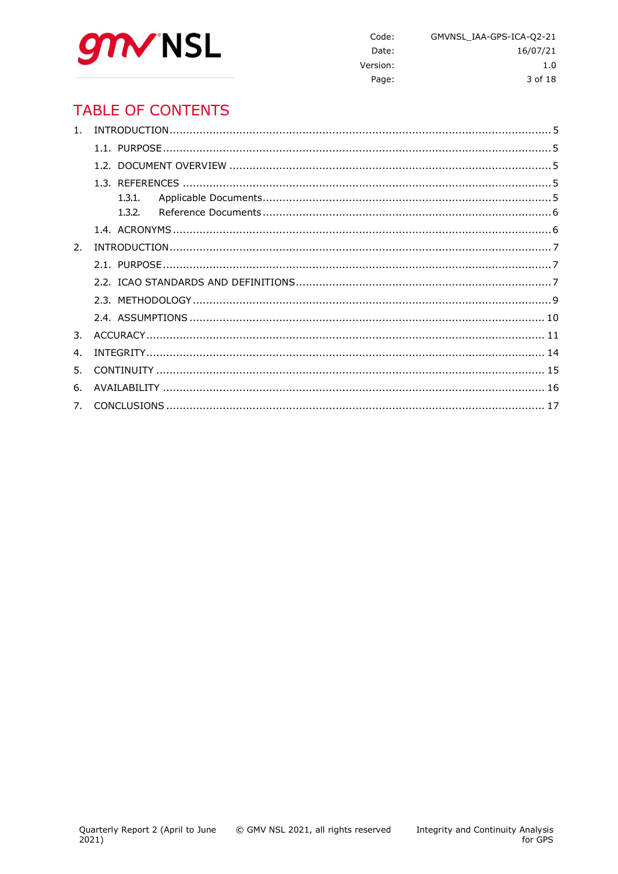

Code: GMVNSL\_IAA-GPS-ICA-Q2-21 Date: 16/07/21 Version:  $1.0$ Page: 3 of 18

## **TABLE OF CONTENTS**

| 1 <sup>1</sup> |  |
|----------------|--|
|                |  |
|                |  |
|                |  |
|                |  |
|                |  |
|                |  |
| 2.             |  |
|                |  |
|                |  |
|                |  |
|                |  |
| 3.             |  |
| $\mathbf{4}$   |  |
| 5.             |  |
| 6.             |  |
| 7.             |  |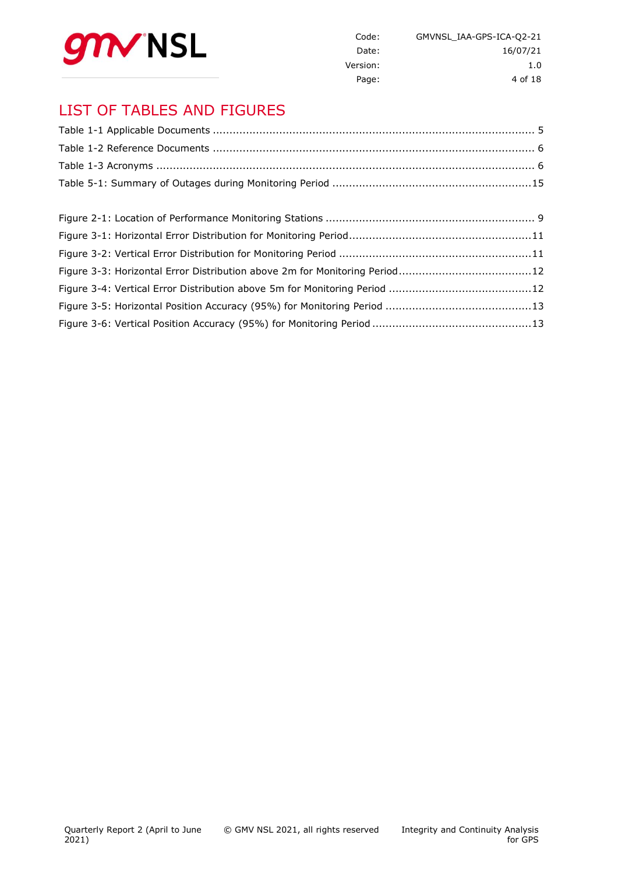

| GMVNSL IAA-GPS-ICA-Q2-21 | Code:    |
|--------------------------|----------|
| 16/07/21                 | Date:    |
| 1.0                      | Version: |
| 4 of 18                  | Page:    |

## LIST OF TABLES AND FIGURES

| Figure 3-3: Horizontal Error Distribution above 2m for Monitoring Period12 |  |
|----------------------------------------------------------------------------|--|
|                                                                            |  |
|                                                                            |  |
|                                                                            |  |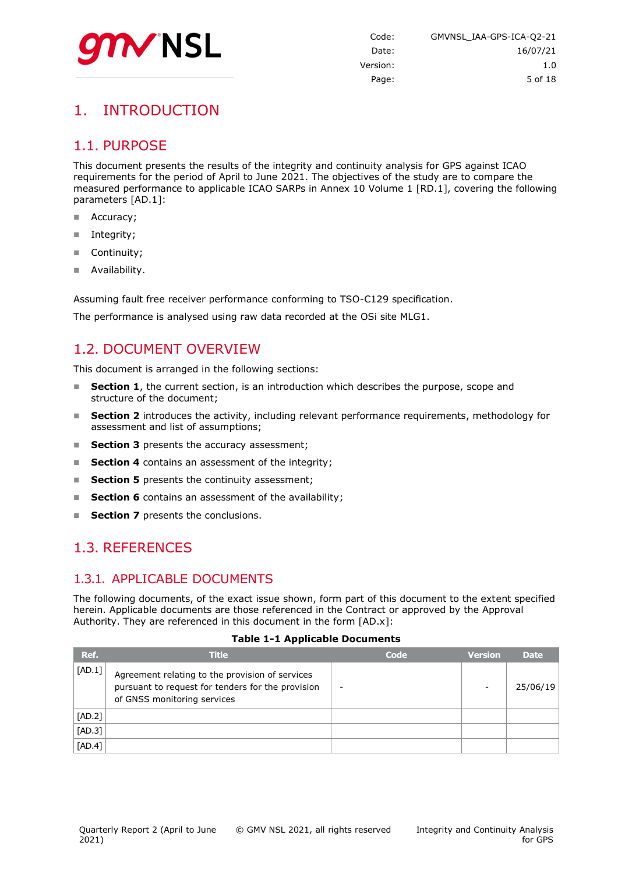

## <span id="page-4-0"></span>1. INTRODUCTION

#### <span id="page-4-1"></span>1.1. PURPOSE

This document presents the results of the integrity and continuity analysis for GPS against ICAO requirements for the period of April to June 2021. The objectives of the study are to compare the measured performance to applicable ICAO SARPs in Annex 10 Volume 1 [RD.1], covering the following parameters [AD.1]:

- Accuracy;
- **Integrity;**
- Continuity;
- **Availability.**

Assuming fault free receiver performance conforming to TSO-C129 specification.

<span id="page-4-2"></span>The performance is analysed using raw data recorded at the OSi site MLG1.

#### 1.2. DOCUMENT OVERVIEW

This document is arranged in the following sections:

- **Section 1**, the current section, is an introduction which describes the purpose, scope and structure of the document;
- **Section 2** introduces the activity, including relevant performance requirements, methodology for assessment and list of assumptions;
- **Section 3** presents the accuracy assessment;
- **Section 4** contains an assessment of the integrity;
- **Section 5** presents the continuity assessment;
- **Section 6** contains an assessment of the availability;
- <span id="page-4-3"></span>**Section 7** presents the conclusions.

#### 1.3. REFERENCES

#### <span id="page-4-4"></span>1.3.1. APPLICABLE DOCUMENTS

The following documents, of the exact issue shown, form part of this document to the extent specified herein. Applicable documents are those referenced in the Contract or approved by the Approval Authority. They are referenced in this document in the form [AD.x]:

#### **Table 1-1 Applicable Documents**

<span id="page-4-5"></span>

| Ref.     | <b>Title</b>                                                                                                                        | Code | <b>Version</b> | <b>Date</b> |
|----------|-------------------------------------------------------------------------------------------------------------------------------------|------|----------------|-------------|
| [AD.1]   | Agreement relating to the provision of services<br>pursuant to request for tenders for the provision<br>of GNSS monitoring services | -    | -              | 25/06/19    |
| $[AD.2]$ |                                                                                                                                     |      |                |             |
| $[AD.3]$ |                                                                                                                                     |      |                |             |
| [AD.4]   |                                                                                                                                     |      |                |             |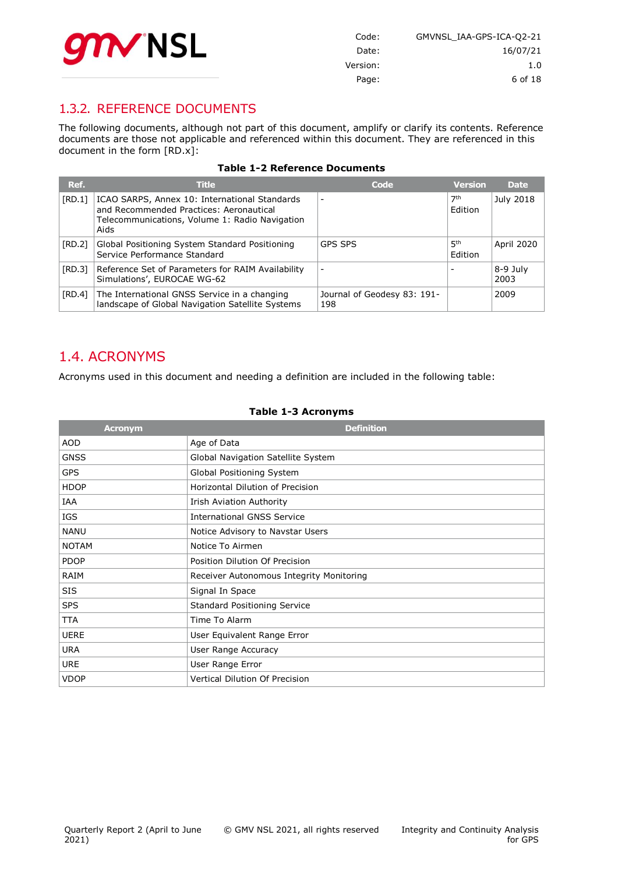

| Code:    | GMVNSL IAA-GPS-ICA-Q2-21 |
|----------|--------------------------|
| Date:    | 16/07/21                 |
| Version: | 1.0                      |
| Page:    | 6 of 18                  |

#### <span id="page-5-0"></span>1.3.2. REFERENCE DOCUMENTS

The following documents, although not part of this document, amplify or clarify its contents. Reference documents are those not applicable and referenced within this document. They are referenced in this document in the form [RD.x]:

|  |  | <b>Table 1-2 Reference Documents</b> |  |
|--|--|--------------------------------------|--|
|  |  |                                      |  |

<span id="page-5-2"></span>

| Ref.   | <b>Title</b>                                                                                                                                       | Code                               | <b>Version</b>             | <b>Date</b>      |
|--------|----------------------------------------------------------------------------------------------------------------------------------------------------|------------------------------------|----------------------------|------------------|
| [RD.1] | ICAO SARPS, Annex 10: International Standards<br>and Recommended Practices: Aeronautical<br>Telecommunications, Volume 1: Radio Navigation<br>Aids |                                    | 7 <sup>th</sup><br>Edition | July 2018        |
| [RD.2] | Global Positioning System Standard Positioning<br>Service Performance Standard                                                                     | <b>GPS SPS</b>                     | 5 <sup>th</sup><br>Edition | April 2020       |
| [RD.3] | Reference Set of Parameters for RAIM Availability<br>Simulations', EUROCAE WG-62                                                                   |                                    |                            | 8-9 July<br>2003 |
| [RD.4] | The International GNSS Service in a changing<br>landscape of Global Navigation Satellite Systems                                                   | Journal of Geodesy 83: 191-<br>198 |                            | 2009             |

#### <span id="page-5-1"></span>1.4. ACRONYMS

Acronyms used in this document and needing a definition are included in the following table:

#### **Table 1-3 Acronyms**

<span id="page-5-3"></span>

| <b>Acronym</b> | <b>Definition</b>                        |
|----------------|------------------------------------------|
| <b>AOD</b>     | Age of Data                              |
| <b>GNSS</b>    | Global Navigation Satellite System       |
| <b>GPS</b>     | Global Positioning System                |
| <b>HDOP</b>    | Horizontal Dilution of Precision         |
| IAA            | Irish Aviation Authority                 |
| IGS            | <b>International GNSS Service</b>        |
| <b>NANU</b>    | Notice Advisory to Navstar Users         |
| <b>NOTAM</b>   | Notice To Airmen                         |
| <b>PDOP</b>    | Position Dilution Of Precision           |
| RAIM           | Receiver Autonomous Integrity Monitoring |
| SIS            | Signal In Space                          |
| <b>SPS</b>     | <b>Standard Positioning Service</b>      |
| <b>TTA</b>     | Time To Alarm                            |
| <b>UERE</b>    | User Equivalent Range Error              |
| <b>URA</b>     | User Range Accuracy                      |
| <b>URE</b>     | User Range Error                         |
| <b>VDOP</b>    | Vertical Dilution Of Precision           |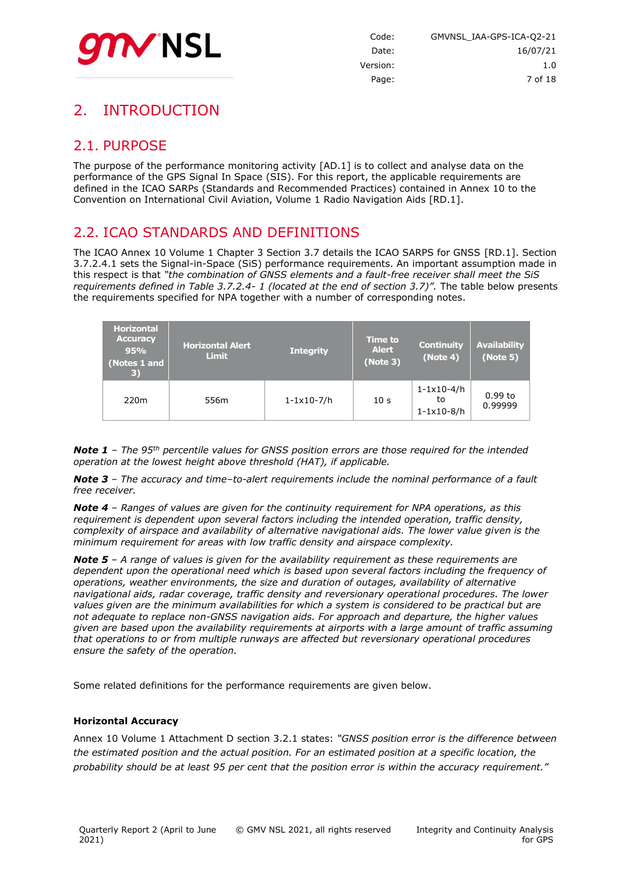

## <span id="page-6-0"></span>2. INTRODUCTION

#### <span id="page-6-1"></span>2.1. PURPOSE

The purpose of the performance monitoring activity [AD.1] is to collect and analyse data on the performance of the GPS Signal In Space (SIS). For this report, the applicable requirements are defined in the ICAO SARPs (Standards and Recommended Practices) contained in Annex 10 to the Convention on International Civil Aviation, Volume 1 Radio Navigation Aids [RD.1].

#### <span id="page-6-2"></span>2.2. ICAO STANDARDS AND DEFINITIONS

The ICAO Annex 10 Volume 1 Chapter 3 Section 3.7 details the ICAO SARPS for GNSS [RD.1]. Section 3.7.2.4.1 sets the Signal-in-Space (SiS) performance requirements. An important assumption made in this respect is that *"the combination of GNSS elements and a fault-free receiver shall meet the SiS requirements defined in Table 3.7.2.4- 1 (located at the end of section 3.7)".* The table below presents the requirements specified for NPA together with a number of corresponding notes.

| <b>Horizontal</b><br><b>Accuracy</b><br><b>Horizontal Alert</b><br>95%<br><b>Limit</b><br>(Notes 1 and<br>$\vert 3)$ |                  | <b>Time to</b><br><b>Integrity</b><br>(Note 3) |                 | <b>Continuity</b><br>(Note 4)                            | <b>Availability</b><br>(Note 5) |
|----------------------------------------------------------------------------------------------------------------------|------------------|------------------------------------------------|-----------------|----------------------------------------------------------|---------------------------------|
| 220 <sub>m</sub>                                                                                                     | 556 <sub>m</sub> | $1 - 1 \times 10 - 7/h$                        | 10 <sub>s</sub> | $1 - 1 \times 10 - 4/h$<br>to<br>$1 - 1 \times 10 - 8/h$ | $0.99$ to<br>0.99999            |

*Note 1 – The 95th percentile values for GNSS position errors are those required for the intended operation at the lowest height above threshold (HAT), if applicable.*

*Note 3 – The accuracy and time–to-alert requirements include the nominal performance of a fault free receiver.*

*Note 4 – Ranges of values are given for the continuity requirement for NPA operations, as this requirement is dependent upon several factors including the intended operation, traffic density, complexity of airspace and availability of alternative navigational aids. The lower value given is the minimum requirement for areas with low traffic density and airspace complexity.*

*Note 5 – A range of values is given for the availability requirement as these requirements are dependent upon the operational need which is based upon several factors including the frequency of operations, weather environments, the size and duration of outages, availability of alternative navigational aids, radar coverage, traffic density and reversionary operational procedures. The lower values given are the minimum availabilities for which a system is considered to be practical but are not adequate to replace non-GNSS navigation aids. For approach and departure, the higher values given are based upon the availability requirements at airports with a large amount of traffic assuming that operations to or from multiple runways are affected but reversionary operational procedures ensure the safety of the operation.*

Some related definitions for the performance requirements are given below.

#### **Horizontal Accuracy**

Annex 10 Volume 1 Attachment D section 3.2.1 states: *"GNSS position error is the difference between the estimated position and the actual position. For an estimated position at a specific location, the probability should be at least 95 per cent that the position error is within the accuracy requirement."*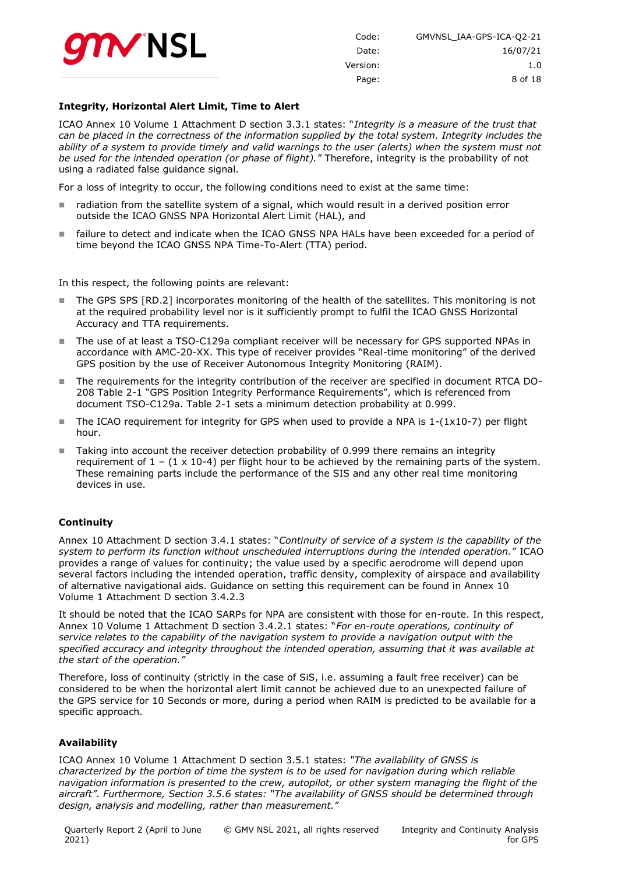

| GMVNSL IAA-GPS-ICA-Q2-21 | Code:    |
|--------------------------|----------|
| 16/07/21                 | Date:    |
| 1.0                      | Version: |
| 8 of 18                  | Page:    |

#### **Integrity, Horizontal Alert Limit, Time to Alert**

ICAO Annex 10 Volume 1 Attachment D section 3.3.1 states: "*Integrity is a measure of the trust that can be placed in the correctness of the information supplied by the total system. Integrity includes the*  ability of a system to provide timely and valid warnings to the user (alerts) when the system must not *be used for the intended operation (or phase of flight)."* Therefore, integrity is the probability of not using a radiated false guidance signal.

For a loss of integrity to occur, the following conditions need to exist at the same time:

- radiation from the satellite system of a signal, which would result in a derived position error outside the ICAO GNSS NPA Horizontal Alert Limit (HAL), and
- failure to detect and indicate when the ICAO GNSS NPA HALs have been exceeded for a period of time beyond the ICAO GNSS NPA Time-To-Alert (TTA) period.

In this respect, the following points are relevant:

- The GPS SPS [RD.2] incorporates monitoring of the health of the satellites. This monitoring is not at the required probability level nor is it sufficiently prompt to fulfil the ICAO GNSS Horizontal Accuracy and TTA requirements.
- The use of at least a TSO-C129a compliant receiver will be necessary for GPS supported NPAs in accordance with AMC-20-XX. This type of receiver provides "Real-time monitoring" of the derived GPS position by the use of Receiver Autonomous Integrity Monitoring (RAIM).
- The requirements for the integrity contribution of the receiver are specified in document RTCA DO-208 Table 2-1 "GPS Position Integrity Performance Requirements", which is referenced from document TSO-C129a. Table 2-1 sets a minimum detection probability at 0.999.
- The ICAO requirement for integrity for GPS when used to provide a NPA is  $1-(1\times10^{-7})$  per flight hour.
- Taking into account the receiver detection probability of 0.999 there remains an integrity requirement of  $1 - (1 \times 10^{-4})$  per flight hour to be achieved by the remaining parts of the system. These remaining parts include the performance of the SIS and any other real time monitoring devices in use.

#### **Continuity**

Annex 10 Attachment D section 3.4.1 states: "*Continuity of service of a system is the capability of the system to perform its function without unscheduled interruptions during the intended operation."* ICAO provides a range of values for continuity; the value used by a specific aerodrome will depend upon several factors including the intended operation, traffic density, complexity of airspace and availability of alternative navigational aids. Guidance on setting this requirement can be found in Annex 10 Volume 1 Attachment D section 3.4.2.3

It should be noted that the ICAO SARPs for NPA are consistent with those for en-route. In this respect, Annex 10 Volume 1 Attachment D section 3.4.2.1 states: "*For en-route operations, continuity of service relates to the capability of the navigation system to provide a navigation output with the specified accuracy and integrity throughout the intended operation, assuming that it was available at the start of the operation."*

Therefore, loss of continuity (strictly in the case of SiS, i.e. assuming a fault free receiver) can be considered to be when the horizontal alert limit cannot be achieved due to an unexpected failure of the GPS service for 10 Seconds or more, during a period when RAIM is predicted to be available for a specific approach.

#### **Availability**

ICAO Annex 10 Volume 1 Attachment D section 3.5.1 states: *"The availability of GNSS is characterized by the portion of time the system is to be used for navigation during which reliable navigation information is presented to the crew, autopilot, or other system managing the flight of the aircraft". Furthermore, Section 3.5.6 states: "The availability of GNSS should be determined through design, analysis and modelling, rather than measurement."*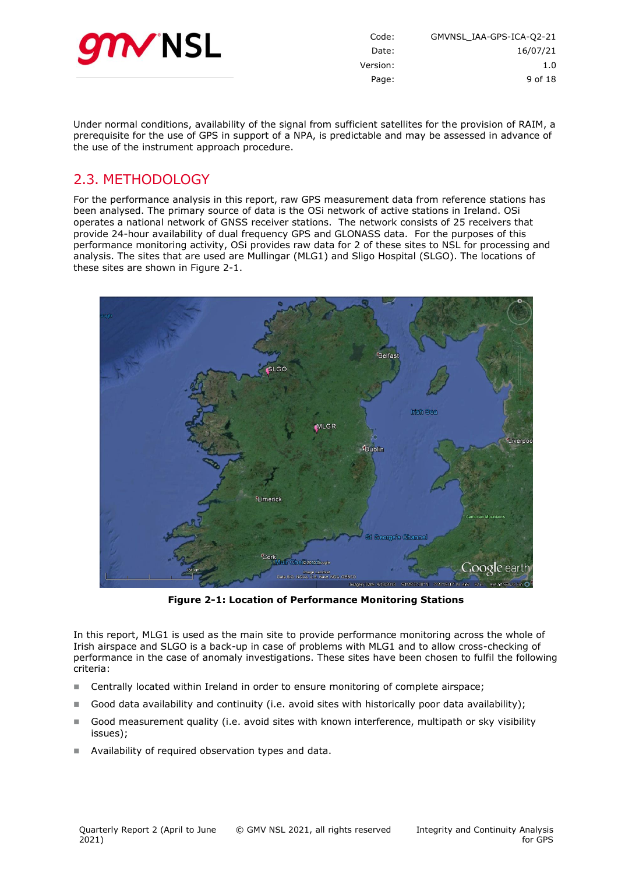

| GMVNSL IAA-GPS-ICA-Q2-21 | Code:    |
|--------------------------|----------|
| 16/07/21                 | Date:    |
| 1.0                      | Version: |
| 9 of 18                  | Page:    |
|                          |          |

Under normal conditions, availability of the signal from sufficient satellites for the provision of RAIM, a prerequisite for the use of GPS in support of a NPA, is predictable and may be assessed in advance of the use of the instrument approach procedure.

#### <span id="page-8-0"></span>2.3. METHODOLOGY

For the performance analysis in this report, raw GPS measurement data from reference stations has been analysed. The primary source of data is the OSi network of active stations in Ireland. OSi operates a national network of GNSS receiver stations. The network consists of 25 receivers that provide 24-hour availability of dual frequency GPS and GLONASS data. For the purposes of this performance monitoring activity, OSi provides raw data for 2 of these sites to NSL for processing and analysis. The sites that are used are Mullingar (MLG1) and Sligo Hospital (SLGO). The locations of these sites are shown in [Figure 2-1.](#page-8-1)



**Figure 2-1: Location of Performance Monitoring Stations**

<span id="page-8-1"></span>In this report, MLG1 is used as the main site to provide performance monitoring across the whole of Irish airspace and SLGO is a back-up in case of problems with MLG1 and to allow cross-checking of performance in the case of anomaly investigations. These sites have been chosen to fulfil the following criteria:

- **Centrally located within Ireland in order to ensure monitoring of complete airspace;**
- Good data availability and continuity (i.e. avoid sites with historically poor data availability);
- Good measurement quality (i.e. avoid sites with known interference, multipath or sky visibility issues);
- Availability of required observation types and data.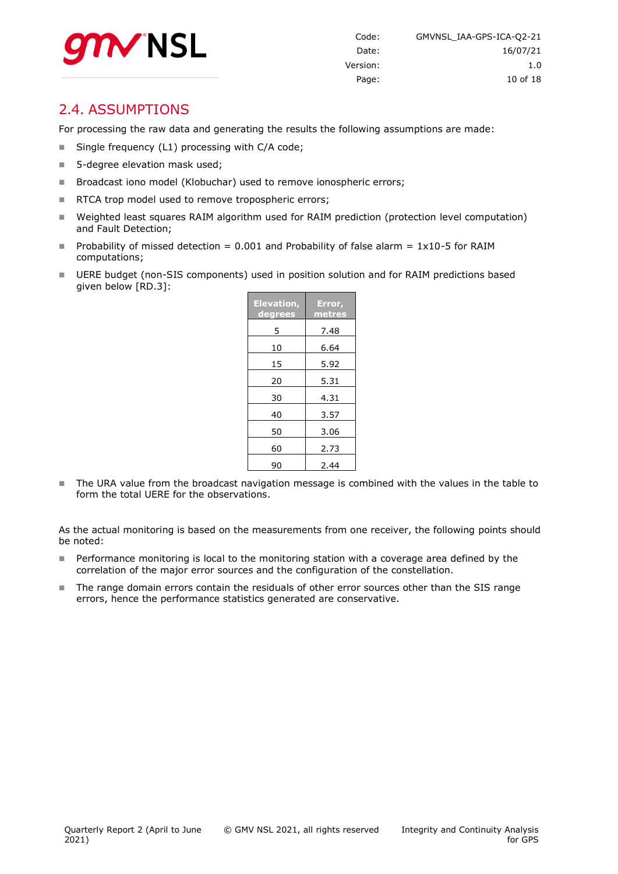

#### <span id="page-9-0"></span>2.4. ASSUMPTIONS

For processing the raw data and generating the results the following assumptions are made:

- Single frequency (L1) processing with C/A code;
- 5-degree elevation mask used;
- Broadcast iono model (Klobuchar) used to remove ionospheric errors;
- RTCA trop model used to remove tropospheric errors;
- Weighted least squares RAIM algorithm used for RAIM prediction (protection level computation) and Fault Detection;
- Probability of missed detection = 0.001 and Probability of false alarm =  $1x10-5$  for RAIM computations;
- UERE budget (non-SIS components) used in position solution and for RAIM predictions based given below [RD.3]:

| <b>Elevation,</b><br><u>degrees</u> | Error,<br>metres |  |  |
|-------------------------------------|------------------|--|--|
| 5                                   | 7.48             |  |  |
| 10                                  | 6.64             |  |  |
| 15                                  | 5.92             |  |  |
| 20                                  | 5.31             |  |  |
| 30                                  | 4.31             |  |  |
| 40                                  | 3.57             |  |  |
| 50                                  | 3.06             |  |  |
| 60                                  | 2.73             |  |  |
| 90                                  | 2.44             |  |  |

The URA value from the broadcast navigation message is combined with the values in the table to form the total UERE for the observations.

As the actual monitoring is based on the measurements from one receiver, the following points should be noted:

- **Performance monitoring is local to the monitoring station with a coverage area defined by the** correlation of the major error sources and the configuration of the constellation.
- The range domain errors contain the residuals of other error sources other than the SIS range errors, hence the performance statistics generated are conservative.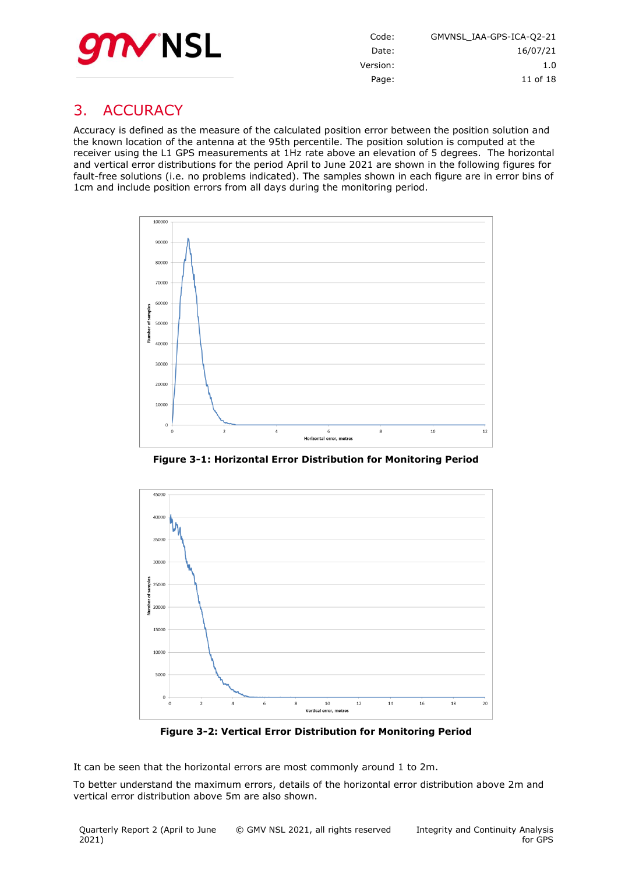

Code: GMVNSL\_IAA-GPS-ICA-Q2-21 Date: 16/07/21 Version: 1.0 Page: 11 of [18](#page-17-0)

## <span id="page-10-0"></span>3. ACCURACY

Accuracy is defined as the measure of the calculated position error between the position solution and the known location of the antenna at the 95th percentile. The position solution is computed at the receiver using the L1 GPS measurements at 1Hz rate above an elevation of 5 degrees. The horizontal and vertical error distributions for the period April to June 2021 are shown in the following figures for fault-free solutions (i.e. no problems indicated). The samples shown in each figure are in error bins of 1cm and include position errors from all days during the monitoring period.



**Figure 3-1: Horizontal Error Distribution for Monitoring Period**

<span id="page-10-1"></span>

**Figure 3-2: Vertical Error Distribution for Monitoring Period**

<span id="page-10-2"></span>It can be seen that the horizontal errors are most commonly around 1 to 2m.

To better understand the maximum errors, details of the horizontal error distribution above 2m and vertical error distribution above 5m are also shown.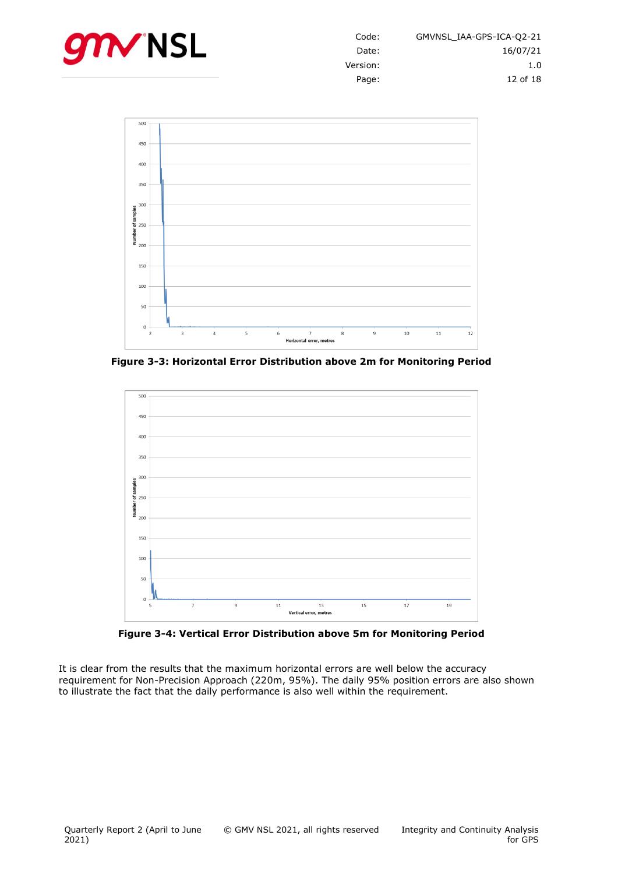



<span id="page-11-0"></span>**Figure 3-3: Horizontal Error Distribution above 2m for Monitoring Period**



**Figure 3-4: Vertical Error Distribution above 5m for Monitoring Period**

<span id="page-11-1"></span>It is clear from the results that the maximum horizontal errors are well below the accuracy requirement for Non-Precision Approach (220m, 95%). The daily 95% position errors are also shown to illustrate the fact that the daily performance is also well within the requirement.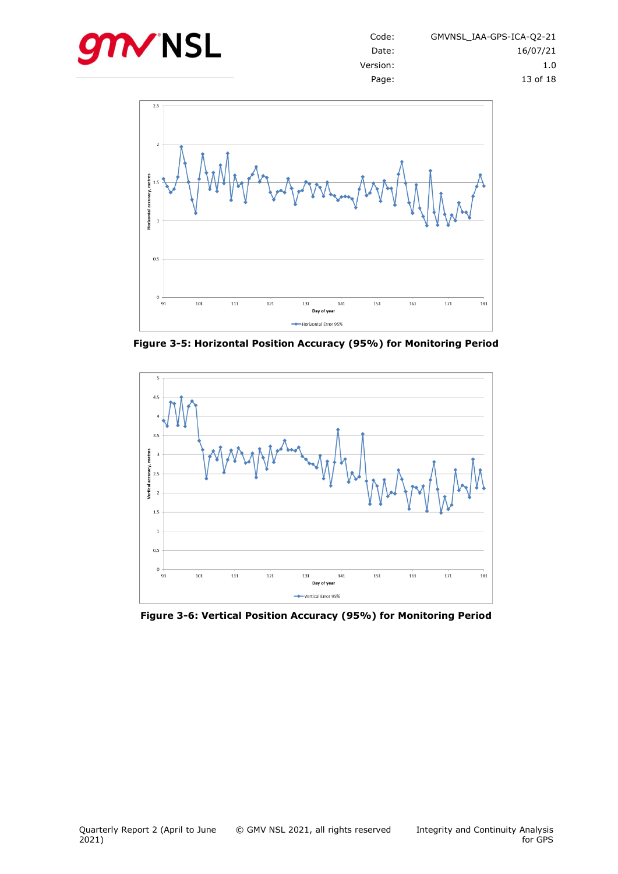



<span id="page-12-0"></span>**Figure 3-5: Horizontal Position Accuracy (95%) for Monitoring Period**



<span id="page-12-1"></span>**Figure 3-6: Vertical Position Accuracy (95%) for Monitoring Period**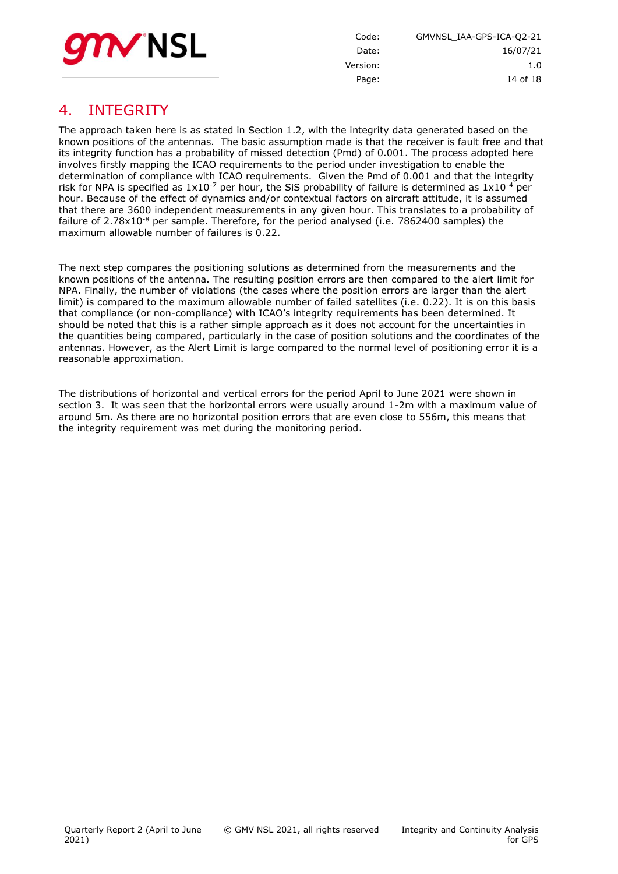

Code: GMVNSL\_IAA-GPS-ICA-Q2-21 Date: 16/07/21 Version: 1.0 Page: 14 of [18](#page-17-0)

## <span id="page-13-0"></span>4. INTEGRITY

The approach taken here is as stated in Section 1.2, with the integrity data generated based on the known positions of the antennas. The basic assumption made is that the receiver is fault free and that its integrity function has a probability of missed detection (Pmd) of 0.001. The process adopted here involves firstly mapping the ICAO requirements to the period under investigation to enable the determination of compliance with ICAO requirements. Given the Pmd of 0.001 and that the integrity risk for NPA is specified as  $1x10^{-7}$  per hour, the SiS probability of failure is determined as  $1x10^{-4}$  per hour. Because of the effect of dynamics and/or contextual factors on aircraft attitude, it is assumed that there are 3600 independent measurements in any given hour. This translates to a probability of failure of  $2.78 \times 10^{-8}$  per sample. Therefore, for the period analysed (i.e. 7862400 samples) the maximum allowable number of failures is 0.22.

The next step compares the positioning solutions as determined from the measurements and the known positions of the antenna. The resulting position errors are then compared to the alert limit for NPA. Finally, the number of violations (the cases where the position errors are larger than the alert limit) is compared to the maximum allowable number of failed satellites (i.e. 0.22). It is on this basis that compliance (or non-compliance) with ICAO's integrity requirements has been determined. It should be noted that this is a rather simple approach as it does not account for the uncertainties in the quantities being compared, particularly in the case of position solutions and the coordinates of the antennas. However, as the Alert Limit is large compared to the normal level of positioning error it is a reasonable approximation.

The distributions of horizontal and vertical errors for the period April to June 2021 were shown in section [3.](#page-10-0) It was seen that the horizontal errors were usually around 1-2m with a maximum value of around 5m. As there are no horizontal position errors that are even close to 556m, this means that the integrity requirement was met during the monitoring period.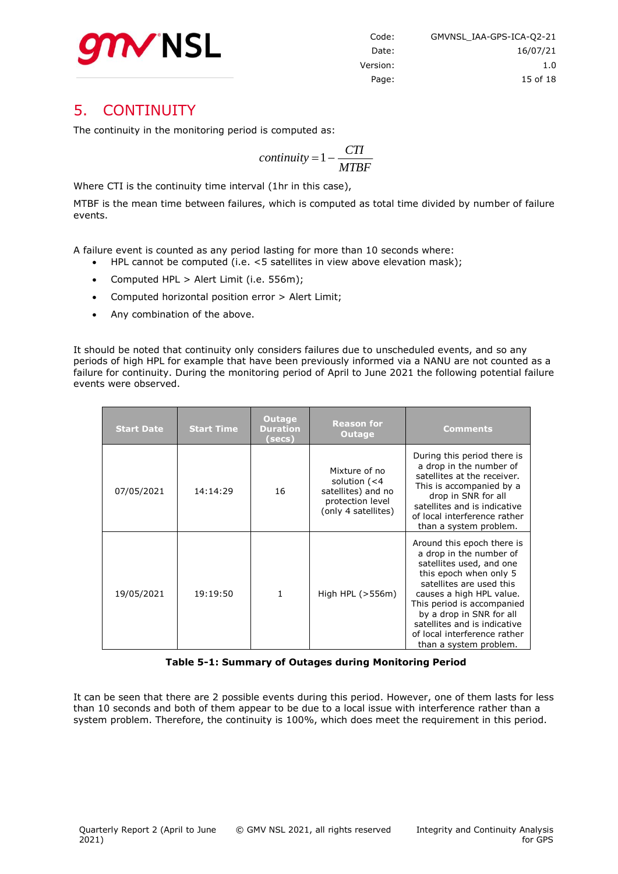

#### <span id="page-14-0"></span>5. CONTINUITY

The continuity in the monitoring period is computed as:

$$
continuity = 1 - \frac{CTI}{MTBF}
$$

Where CTI is the continuity time interval (1hr in this case),

MTBF is the mean time between failures, which is computed as total time divided by number of failure events.

A failure event is counted as any period lasting for more than 10 seconds where:

- HPL cannot be computed (i.e. <5 satellites in view above elevation mask);
- Computed HPL > Alert Limit (i.e. 556m);
- Computed horizontal position error > Alert Limit;
- Any combination of the above.

It should be noted that continuity only considers failures due to unscheduled events, and so any periods of high HPL for example that have been previously informed via a NANU are not counted as a failure for continuity. During the monitoring period of April to June 2021 the following potential failure events were observed.

| <b>Start Date</b> | <b>Start Time</b> | <b>Outage</b><br><b>Duration</b><br>(secs) | <b>Reason for</b><br><b>Outage</b>                                                                | <b>Comments</b>                                                                                                                                                                                                                                                                                                         |
|-------------------|-------------------|--------------------------------------------|---------------------------------------------------------------------------------------------------|-------------------------------------------------------------------------------------------------------------------------------------------------------------------------------------------------------------------------------------------------------------------------------------------------------------------------|
| 07/05/2021        | 14:14:29          | 16                                         | Mixture of no<br>solution $(< 4$<br>satellites) and no<br>protection level<br>(only 4 satellites) | During this period there is<br>a drop in the number of<br>satellites at the receiver.<br>This is accompanied by a<br>drop in SNR for all<br>satellites and is indicative<br>of local interference rather<br>than a system problem.                                                                                      |
| 19/05/2021        | 19:19:50          | 1                                          | High HPL $(>556m)$                                                                                | Around this epoch there is<br>a drop in the number of<br>satellites used, and one<br>this epoch when only 5<br>satellites are used this<br>causes a high HPL value.<br>This period is accompanied<br>by a drop in SNR for all<br>satellites and is indicative<br>of local interference rather<br>than a system problem. |

**Table 5-1: Summary of Outages during Monitoring Period**

<span id="page-14-1"></span>It can be seen that there are 2 possible events during this period. However, one of them lasts for less than 10 seconds and both of them appear to be due to a local issue with interference rather than a system problem. Therefore, the continuity is 100%, which does meet the requirement in this period.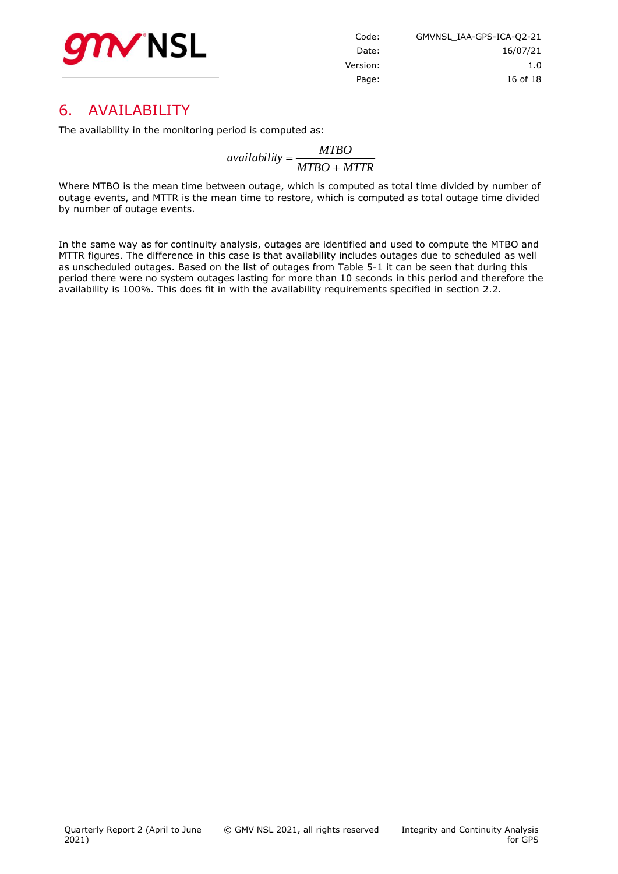

| GMVNSL IAA-GPS-ICA-Q2-21 | Code:    |
|--------------------------|----------|
| 16/07/21                 | Date:    |
| 1.0                      | Version: |
| 16 of 18                 | Page:    |

#### <span id="page-15-0"></span>6. AVAILABILITY

The availability in the monitoring period is computed as:

*MTBO MTTR MTBO availability*

Where MTBO is the mean time between outage, which is computed as total time divided by number of outage events, and MTTR is the mean time to restore, which is computed as total outage time divided by number of outage events.

In the same way as for continuity analysis, outages are identified and used to compute the MTBO and MTTR figures. The difference in this case is that availability includes outages due to scheduled as well as unscheduled outages. Based on the list of outages from [Table 5-1](#page-14-1) it can be seen that during this period there were no system outages lasting for more than 10 seconds in this period and therefore the availability is 100%. This does fit in with the availability requirements specified in section 2.2.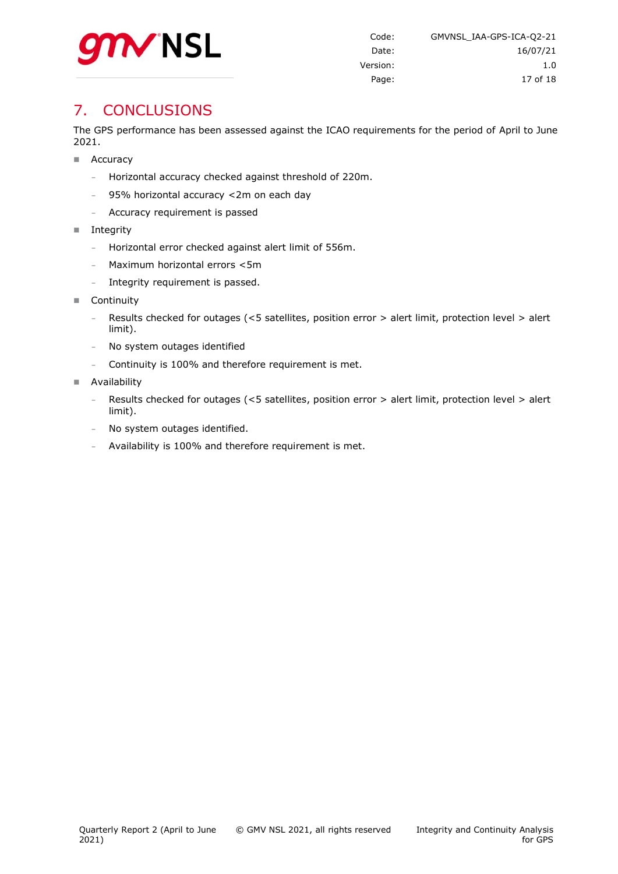

## <span id="page-16-0"></span>**7. CONCLUSIONS**

The GPS performance has been assessed against the ICAO requirements for the period of April to June 2021.

- Accuracy
	- **-** Horizontal accuracy checked against threshold of 220m.
	- **-** 95% horizontal accuracy <2m on each day
	- **-** Accuracy requirement is passed
- Integrity
	- **-** Horizontal error checked against alert limit of 556m.
	- **-** Maximum horizontal errors <5m
	- **-** Integrity requirement is passed.
- Continuity
	- **-** Results checked for outages (<5 satellites, position error > alert limit, protection level > alert limit).
	- **-** No system outages identified
	- **-** Continuity is 100% and therefore requirement is met.
- **Availability** 
	- **-** Results checked for outages (<5 satellites, position error > alert limit, protection level > alert limit).
	- **-** No system outages identified.
	- **-** Availability is 100% and therefore requirement is met.